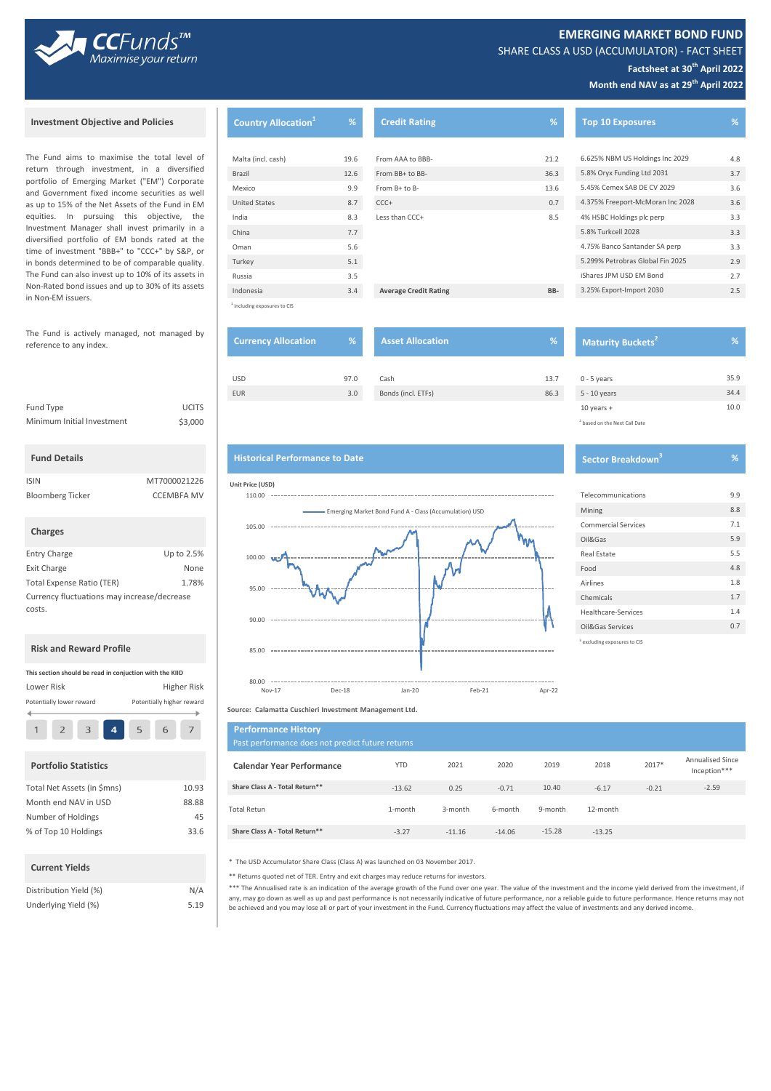

SHARE CLASS A USD (ACCUMULATOR) - FACT SHEET

# **Factsheet at 30th April 2022**

**Month end NAV as at 29th April 2022**

# **Investment Objective and Policies**

CCFunds<sup>™</sup> Maximise your return

The Fund aims to maximise the total level of return through investment, in a diversified portfolio of Emerging Market ("EM") Corporate and Government fixed income securities as well as up to 15% of the Net Assets of the Fund in EM equities. In pursuing this objective, the Investment Manager shall invest primarily in a diversified portfolio of EM bonds rated at the time of investment "BBB+" to "CCC+" by S&P, or in bonds determined to be of comparable quality. The Fund can also invest up to 10% of its assets in Non-Rated bond issues and up to 30% of its assets in Non-EM issuers.

#### **Fund Details**

| <b>ISIN</b>             | MT7000021226      |
|-------------------------|-------------------|
| <b>Bloomberg Ticker</b> | <b>CCEMBFA MV</b> |

```
 Charges
```

| <b>Entry Charge</b>                         | Up to 2.5% |
|---------------------------------------------|------------|
| <b>Exit Charge</b>                          | None       |
| <b>Total Expense Ratio (TER)</b>            | 1.78%      |
| Currency fluctuations may increase/decrease |            |
| costs.                                      |            |

#### **Risk and Reward Profile**

| This section should be read in conjuction with the KIID |                          |  |  |  |  |                           |
|---------------------------------------------------------|--------------------------|--|--|--|--|---------------------------|
| Lower Risk                                              |                          |  |  |  |  | Higher Risk               |
|                                                         | Potentially lower reward |  |  |  |  | Potentially higher reward |
|                                                         |                          |  |  |  |  |                           |

#### **Portfolio Statistics**

| Total Net Assets (in \$mns) | 10.93 |
|-----------------------------|-------|
| Month end NAV in USD        | 88.88 |
| Number of Holdings          | 45    |
| % of Top 10 Holdings        | 33.6  |
|                             |       |

#### **Current Yields**

| Distribution Yield (%) | N/A  |
|------------------------|------|
| Underlying Yield (%)   | 5.19 |

| <b>Country Allocation</b> <sup>1</sup> | %    | <b>Credit Rating</b>         | %    | <b>Top 10 Exposures</b>          | %   |
|----------------------------------------|------|------------------------------|------|----------------------------------|-----|
|                                        |      |                              |      |                                  |     |
| Malta (incl. cash)                     | 19.6 | From AAA to BBB-             | 21.2 | 6.625% NBM US Holdings Inc 2029  | 4.8 |
| Brazil                                 | 12.6 | From BB+ to BB-              | 36.3 | 5.8% Oryx Funding Ltd 2031       | 3.7 |
| Mexico                                 | 9.9  | From B+ to B-                | 13.6 | 5.45% Cemex SAB DE CV 2029       | 3.6 |
| <b>United States</b>                   | 8.7  | $CCC +$                      | 0.7  | 4.375% Freeport-McMoran Inc 2028 | 3.6 |
| India                                  | 8.3  | Less than CCC+               | 8.5  | 4% HSBC Holdings plc perp        | 3.3 |
| China                                  | 7.7  |                              |      | 5.8% Turkcell 2028               | 3.3 |
| Oman                                   | 5.6  |                              |      | 4.75% Banco Santander SA perp    | 3.3 |
| Turkey                                 | 5.1  |                              |      | 5.299% Petrobras Global Fin 2025 | 2.9 |
| Russia                                 | 3.5  |                              |      | iShares JPM USD EM Bond          | 2.7 |
| Indonesia                              | 3.4  | <b>Average Credit Rating</b> | BB-  | 3.25% Export-Import 2030         | 2.5 |

uding exposures to CIS

1

| The Fund is actively managed, not managed by<br>reference to any index. |              | <b>Currency Allocation</b> | ∣% ' | <b>Asset Allocation</b> | V.   | <b>Maturit</b> |
|-------------------------------------------------------------------------|--------------|----------------------------|------|-------------------------|------|----------------|
|                                                                         |              | <b>USD</b>                 | 97.0 | Cash                    | 13.7 | $0 - 5$ years  |
|                                                                         |              | <b>EUR</b>                 | 3.0  | Bonds (incl. ETFs)      | 86.3 | 5 - 10 years   |
| Fund Type                                                               | <b>UCITS</b> |                            |      |                         |      | $10$ years $+$ |

 **Maturity Buckets<sup>2</sup> %** 

#### **Historical Performance to Date**





## **Source: Calamatta Cuschieri Investment Management Ltd.**

| $2^{\circ}$                 | 3 | $\overline{4}$ | 5 | 6 | $\overline{7}$ | <b>Performance History</b><br>Past performance does not predict future returns |            |          |          |          |          |         |                                         |
|-----------------------------|---|----------------|---|---|----------------|--------------------------------------------------------------------------------|------------|----------|----------|----------|----------|---------|-----------------------------------------|
| <b>Portfolio Statistics</b> |   |                |   |   |                | <b>Calendar Year Performance</b>                                               | <b>YTD</b> | 2021     | 2020     | 2019     | 2018     | 2017*   | <b>Annualised Since</b><br>Inception*** |
| Total Net Assets (in \$mns) |   |                |   |   | 10.93          | Share Class A - Total Return**                                                 | $-13.62$   | 0.25     | $-0.71$  | 10.40    | $-6.17$  | $-0.21$ | $-2.59$                                 |
| Month end NAV in USD        |   |                |   |   | 88.88          | <b>Total Retun</b>                                                             | 1-month    | 3-month  | 6-month  | 9-month  | 12-month |         |                                         |
| Number of Holdings          |   |                |   |   | 45             |                                                                                |            |          |          |          |          |         |                                         |
| % of Top 10 Holdings        |   |                |   |   | 33.6           | Share Class A - Total Return**                                                 | $-3.27$    | $-11.16$ | $-14.06$ | $-15.28$ | $-13.25$ |         |                                         |

\* The USD Accumulator Share Class (Class A) was launched on 03 November 2017.

\*\* Returns quoted net of TER. Entry and exit charges may reduce returns for investors.

\*\*\* The Annualised rate is an indication of the average growth of the Fund over one year. The value of the investment and the income yield derived from the investment, if any, may go down as well as up and past performance is not necessarily indicative of future performance, nor a reliable guide to future performance. Hence returns may not be achieved and you may lose all or part of your investment in the Fund. Currency fluctuations may affect the value of investments and any derived income.

# <sup>2</sup> based on the Next Call Date

10.0

35.9 34.4

#### **% Sector Breakdown<sup>3</sup>**

| Telecommunications                      | 9.9 |
|-----------------------------------------|-----|
| Mining                                  | 8.8 |
| <b>Commercial Services</b>              | 7.1 |
| Oil&Gas                                 | 5.9 |
| Real Estate                             | 5.5 |
| Food                                    | 4.8 |
| Airlines                                | 1.8 |
| Chemicals                               | 1.7 |
| Healthcare-Services                     | 1.4 |
| Oil&Gas Services                        | 0.7 |
| <sup>3</sup> excluding exposures to CIS |     |